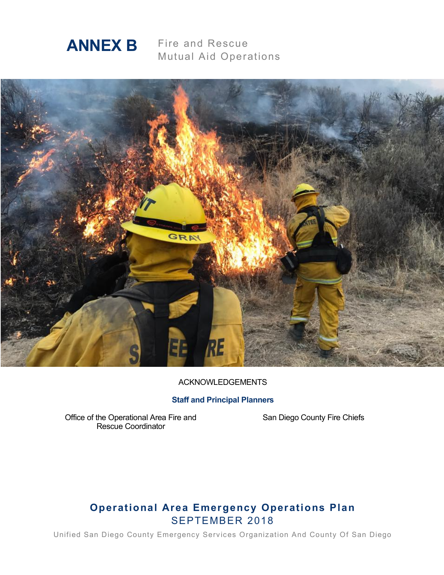

Fire and Rescue Mutual Aid Operations



#### ACKNOWLEDGEMENTS

#### **Staff and Principal Planners**

Office of the Operational Area Fire and Rescue Coordinator

San Diego County Fire Chiefs

## **Operational Area Emergency Operations Plan** SEPTEMBER 2018

Unified San Diego County Emergency Services Organization And County Of San Diego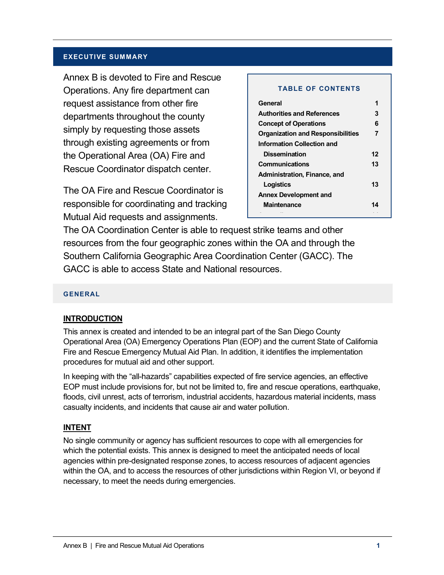#### **EXECUTIVE SUMMARY**

Annex B is devoted to Fire and Rescue Operations. Any fire department can request assistance from other fire departments throughout the county simply by requesting those assets through existing agreements or from the Operational Area (OA) Fire and Rescue Coordinator dispatch center.

The OA Fire and Rescue Coordinator is responsible for coordinating and tracking Mutual Aid requests and assignments.

#### **TABLE OF CONTENTS**

| General                                  |    |
|------------------------------------------|----|
| <b>Authorities and References</b>        | 3  |
| <b>Concept of Operations</b>             | 6  |
| <b>Organization and Responsibilities</b> | 7  |
| <b>Information Collection and</b>        |    |
| <b>Dissemination</b>                     | 12 |
| Communications                           | 13 |
| Administration, Finance, and             |    |
| Logistics                                | 13 |
| <b>Annex Development and</b>             |    |
| <b>Maintenance</b>                       | 14 |

The OA Coordination Center is able to request strike teams and other resources from the four geographic zones within the OA and through the Southern California Geographic Area Coordination Center (GACC). The GACC is able to access State and National resources.

#### **GENERAL**

#### **INTRODUCTION**

This annex is created and intended to be an integral part of the San Diego County Operational Area (OA) Emergency Operations Plan (EOP) and the current State of California Fire and Rescue Emergency Mutual Aid Plan. In addition, it identifies the implementation procedures for mutual aid and other support.

In keeping with the "all-hazards" capabilities expected of fire service agencies, an effective EOP must include provisions for, but not be limited to, fire and rescue operations, earthquake, floods, civil unrest, acts of terrorism, industrial accidents, hazardous material incidents, mass casualty incidents, and incidents that cause air and water pollution.

#### **INTENT**

No single community or agency has sufficient resources to cope with all emergencies for which the potential exists. This annex is designed to meet the anticipated needs of local agencies within pre-designated response zones, to access resources of adjacent agencies within the OA, and to access the resources of other jurisdictions within Region VI, or beyond if necessary, to meet the needs during emergencies.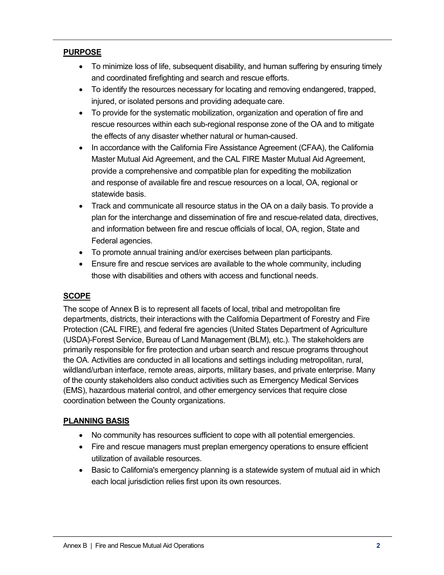## **PURPOSE**

- To minimize loss of life, subsequent disability, and human suffering by ensuring timely and coordinated firefighting and search and rescue efforts.
- To identify the resources necessary for locating and removing endangered, trapped, injured, or isolated persons and providing adequate care.
- To provide for the systematic mobilization, organization and operation of fire and rescue resources within each sub-regional response zone of the OA and to mitigate the effects of any disaster whether natural or human-caused.
- In accordance with the California Fire Assistance Agreement (CFAA), the California Master Mutual Aid Agreement, and the CAL FIRE Master Mutual Aid Agreement, provide a comprehensive and compatible plan for expediting the mobilization and response of available fire and rescue resources on a local, OA, regional or statewide basis.
- Track and communicate all resource status in the OA on a daily basis. To provide a plan for the interchange and dissemination of fire and rescue-related data, directives, and information between fire and rescue officials of local, OA, region, State and Federal agencies.
- To promote annual training and/or exercises between plan participants.
- Ensure fire and rescue services are available to the whole community, including those with disabilities and others with access and functional needs.

## **SCOPE**

The scope of Annex B is to represent all facets of local, tribal and metropolitan fire departments, districts, their interactions with the California Department of Forestry and Fire Protection (CAL FIRE), and federal fire agencies (United States Department of Agriculture (USDA)-Forest Service, Bureau of Land Management (BLM), etc.). The stakeholders are primarily responsible for fire protection and urban search and rescue programs throughout the OA. Activities are conducted in all locations and settings including metropolitan, rural, wildland/urban interface, remote areas, airports, military bases, and private enterprise. Many of the county stakeholders also conduct activities such as Emergency Medical Services (EMS), hazardous material control, and other emergency services that require close coordination between the County organizations.

## **PLANNING BASIS**

- No community has resources sufficient to cope with all potential emergencies.
- Fire and rescue managers must preplan emergency operations to ensure efficient utilization of available resources.
- Basic to California's emergency planning is a statewide system of mutual aid in which each local jurisdiction relies first upon its own resources.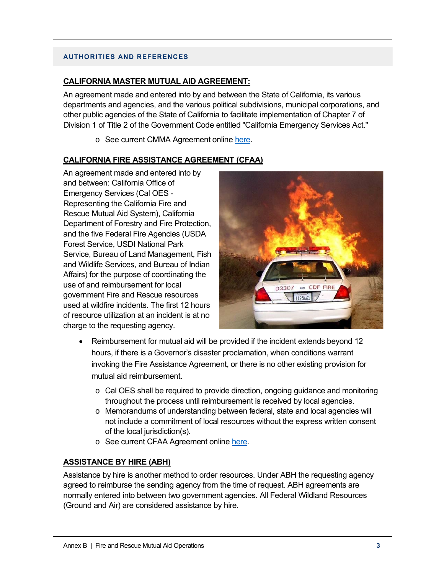#### **AUTHORITIES AND REFERENCES**

#### **CALIFORNIA MASTER MUTUAL AID AGREEMENT:**

An agreement made and entered into by and between the State of California, its various departments and agencies, and the various political subdivisions, municipal corporations, and other public agencies of the State of California to facilitate implementation of Chapter 7 of Division 1 of Title 2 of the Government Code entitled "California Emergency Services Act."

o See current CMMA Agreement online here.

#### **CALIFORNIA FIRE ASSISTANCE AGREEMENT (CFAA)**

An agreement made and entered into by and between: California Office of Emergency Services (Cal OES - Representing the California Fire and Rescue Mutual Aid System), California Department of Forestry and Fire Protection, and the five Federal Fire Agencies (USDA Forest Service, USDI National Park Service, Bureau of Land Management, Fish and Wildlife Services, and Bureau of Indian Affairs) for the purpose of coordinating the use of and reimbursement for local government Fire and Rescue resources used at wildfire incidents. The first 12 hours of resource utilization at an incident is at no charge to the requesting agency.



- Reimbursement for mutual aid will be provided if the incident extends beyond 12 hours, if there is a Governor's disaster proclamation, when conditions warrant invoking the Fire Assistance Agreement, or there is no other existing provision for mutual aid reimbursement.
	- o Cal OES shall be required to provide direction, ongoing guidance and monitoring throughout the process until reimbursement is received by local agencies.
	- o Memorandums of understanding between federal, state and local agencies will not include a commitment of local resources without the express written consent of the local jurisdiction(s).
	- o See current CFAA Agreement online here.

## **ASSISTANCE BY HIRE (ABH)**

Assistance by hire is another method to order resources. Under ABH the requesting agency agreed to reimburse the sending agency from the time of request. ABH agreements are normally entered into between two government agencies. All Federal Wildland Resources (Ground and Air) are considered assistance by hire.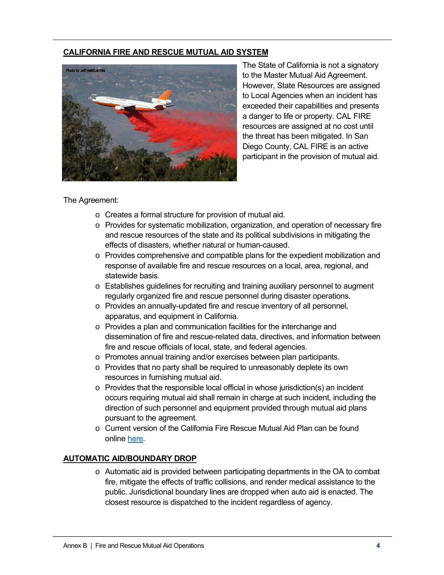## **CALIFORNIA FIRE AND RESCUE MUTUAL AID SYSTEM**



The State of California is not a signatory to the Master Mutual Aid Agreement. However, State Resources are assigned to Local Agencies when an incident has exceeded their capabilities and presents a danger to life or property. CAL FIRE resources are assigned at no cost until the threat has been mitigated. In San Diego County, CAL FIRE is an active participant in the provision of mutual aid.

#### The Agreement:

- o Creates a formal structure for provision of mutual aid.
- o Provides for systematic mobilization, organization, and operation of necessary fire and rescue resources of the state and its political subdivisions in mitigating the effects of disasters, whether natural or human-caused.
- $\circ$  Provides comprehensive and compatible plans for the expedient mobilization and response of available fire and rescue resources on a local, area, regional, and statewide basis.
- $\circ$  Establishes quidelines for recruiting and training auxiliary personnel to augment regularly organized fire and rescue personnel during disaster operations.
- o Provides an annually-updated fire and rescue inventory of all personnel, apparatus, and equipment in California.
- o Provides a plan and communication facilities for the interchange and dissemination of fire and rescue-related data, directives, and information between fire and rescue officials of local, state, and federal agencies.
- o Promotes annual training and/or exercises between plan participants.
- o Provides that no party shall be required to unreasonably deplete its own resources in furnishing mutual aid.
- o Provides that the responsible local official in whose jurisdiction(s) an incident occurs requiring mutual aid shall remain in charge at such incident, including the direction of such personnel and equipment provided through mutual aid plans pursuant to the agreement.
- o Current version of the California Fire Rescue Mutual Aid Plan can be found online here.

## **AUTOMATIC AID/BOUNDARY DROP**

 $\circ$  Automatic aid is provided between participating departments in the OA to combat fire, mitigate the effects of traffic collisions, and render medical assistance to the public. Jurisdictional boundary lines are dropped when auto aid is enacted. The closest resource is dispatched to the incident regardless of agency.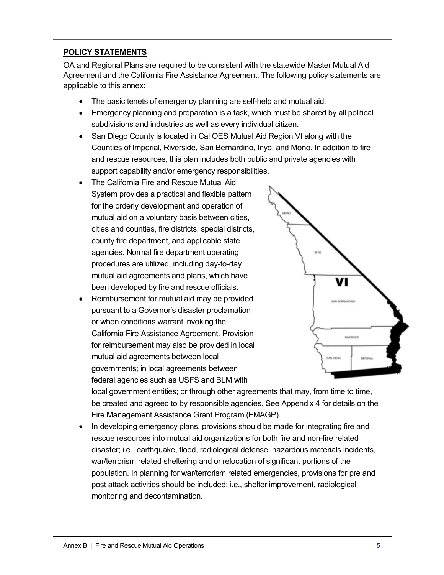## **POLICY STATEMENTS**

OA and Regional Plans are required to be consistent with the statewide Master Mutual Aid Agreement and the California Fire Assistance Agreement. The following policy statements are applicable to this annex:

- The basic tenets of emergency planning are self-help and mutual aid.
- Emergency planning and preparation is a task, which must be shared by all political subdivisions and industries as well as every individual citizen.
- San Diego County is located in Cal OES Mutual Aid Region VI along with the Counties of Imperial, Riverside, San Bernardino, Inyo, and Mono. In addition to fire and rescue resources, this plan includes both public and private agencies with support capability and/or emergency responsibilities.
- The California Fire and Rescue Mutual Aid System provides a practical and flexible pattern for the orderly development and operation of mutual aid on a voluntary basis between cities, cities and counties, fire districts, special districts, county fire department, and applicable state agencies. Normal fire department operating procedures are utilized, including day-to-day mutual aid agreements and plans, which have been developed by fire and rescue officials.
- Reimbursement for mutual aid may be provided pursuant to a Governor's disaster proclamation or when conditions warrant invoking the California Fire Assistance Agreement. Provision for reimbursement may also be provided in local mutual aid agreements between local governments; in local agreements between federal agencies such as USFS and BLM with



local government entities; or through other agreements that may, from time to time, be created and agreed to by responsible agencies. See Appendix 4 for details on the Fire Management Assistance Grant Program (FMAGP).

• In developing emergency plans, provisions should be made for integrating fire and rescue resources into mutual aid organizations for both fire and non-fire related disaster; i.e., earthquake, flood, radiological defense, hazardous materials incidents, war/terrorism related sheltering and or relocation of significant portions of the population. In planning for war/terrorism related emergencies, provisions for pre and post attack activities should be included; i.e., shelter improvement, radiological monitoring and decontamination.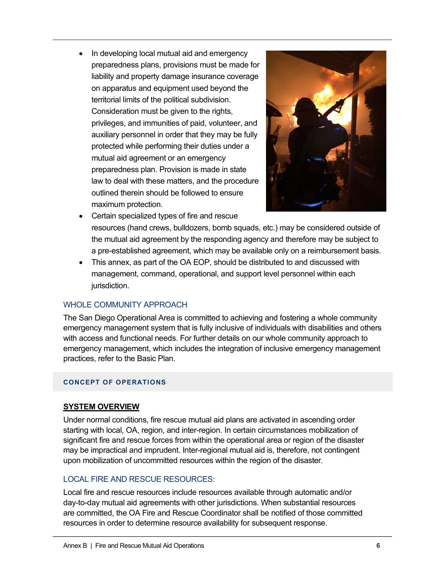• In developing local mutual aid and emergency preparedness plans, provisions must be made for liability and property damage insurance coverage on apparatus and equipment used beyond the territorial limits of the political subdivision. Consideration must be given to the rights, privileges, and immunities of paid, volunteer, and auxiliary personnel in order that they may be fully protected while performing their duties under a mutual aid agreement or an emergency preparedness plan. Provision is made in state law to deal with these matters, and the procedure outlined therein should be followed to ensure maximum protection.



- Certain specialized types of fire and rescue resources (hand crews, bulldozers, bomb squads, etc.) may be considered outside of the mutual aid agreement by the responding agency and therefore may be subject to a pre-established agreement, which may be available only on a reimbursement basis.
- This annex, as part of the OA EOP, should be distributed to and discussed with management, command, operational, and support level personnel within each jurisdiction.

## WHOLE COMMUNITY APPROACH

The San Diego Operational Area is committed to achieving and fostering a whole community emergency management system that is fully inclusive of individuals with disabilities and others with access and functional needs. For further details on our whole community approach to emergency management, which includes the integration of inclusive emergency management practices, refer to the Basic Plan.

#### **CONCEPT OF OPERATIONS**

#### **SYSTEM OVERVIEW**

Under normal conditions, fire rescue mutual aid plans are activated in ascending order starting with local, OA, region, and inter-region. In certain circumstances mobilization of significant fire and rescue forces from within the operational area or region of the disaster may be impractical and imprudent. Inter-regional mutual aid is, therefore, not contingent upon mobilization of uncommitted resources within the region of the disaster.

## LOCAL FIRE AND RESCUE RESOURCES:

Local fire and rescue resources include resources available through automatic and/or day-to-day mutual aid agreements with other jurisdictions. When substantial resources are committed, the OA Fire and Rescue Coordinator shall be notified of those committed resources in order to determine resource availability for subsequent response.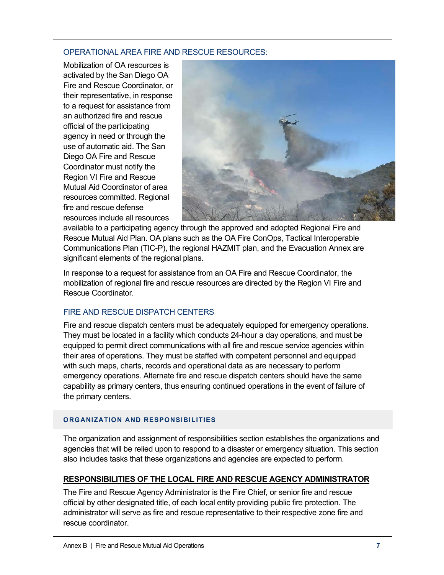#### OPERATIONAL AREA FIRE AND RESCUE RESOURCES:

Mobilization of OA resources is activated by the San Diego OA Fire and Rescue Coordinator, or their representative, in response to a request for assistance from an authorized fire and rescue official of the participating agency in need or through the use of automatic aid. The San Diego OA Fire and Rescue Coordinator must notify the Region VI Fire and Rescue Mutual Aid Coordinator of area resources committed. Regional fire and rescue defense resources include all resources



available to a participating agency through the approved and adopted Regional Fire and Rescue Mutual Aid Plan. OA plans such as the OA Fire ConOps, Tactical Interoperable Communications Plan (TIC-P), the regional HAZMIT plan, and the Evacuation Annex are significant elements of the regional plans.

In response to a request for assistance from an OA Fire and Rescue Coordinator, the mobilization of regional fire and rescue resources are directed by the Region VI Fire and Rescue Coordinator.

## FIRE AND RESCUE DISPATCH CENTERS

Fire and rescue dispatch centers must be adequately equipped for emergency operations. They must be located in a facility which conducts 24-hour a day operations, and must be equipped to permit direct communications with all fire and rescue service agencies within their area of operations. They must be staffed with competent personnel and equipped with such maps, charts, records and operational data as are necessary to perform emergency operations. Alternate fire and rescue dispatch centers should have the same capability as primary centers, thus ensuring continued operations in the event of failure of the primary centers.

## **ORGANIZATION AND RESPONSIBILITIES**

The organization and assignment of responsibilities section establishes the organizations and agencies that will be relied upon to respond to a disaster or emergency situation. This section also includes tasks that these organizations and agencies are expected to perform.

## **RESPONSIBILITIES OF THE LOCAL FIRE AND RESCUE AGENCY ADMINISTRATOR**

The Fire and Rescue Agency Administrator is the Fire Chief, or senior fire and rescue official by other designated title, of each local entity providing public fire protection. The administrator will serve as fire and rescue representative to their respective zone fire and rescue coordinator.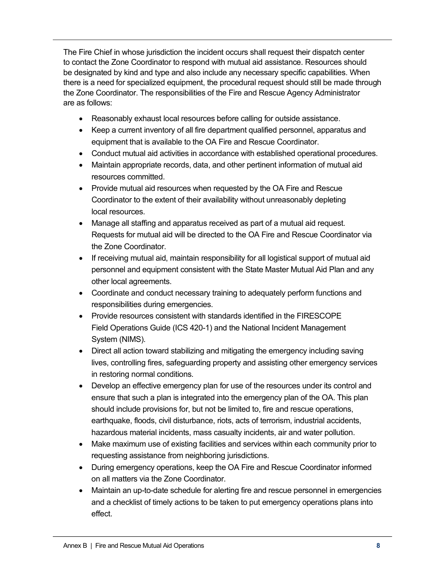The Fire Chief in whose jurisdiction the incident occurs shall request their dispatch center to contact the Zone Coordinator to respond with mutual aid assistance. Resources should be designated by kind and type and also include any necessary specific capabilities. When there is a need for specialized equipment, the procedural request should still be made through the Zone Coordinator. The responsibilities of the Fire and Rescue Agency Administrator are as follows:

- Reasonably exhaust local resources before calling for outside assistance.
- Keep a current inventory of all fire department qualified personnel, apparatus and equipment that is available to the OA Fire and Rescue Coordinator.
- Conduct mutual aid activities in accordance with established operational procedures.
- Maintain appropriate records, data, and other pertinent information of mutual aid resources committed.
- Provide mutual aid resources when requested by the OA Fire and Rescue Coordinator to the extent of their availability without unreasonably depleting local resources.
- Manage all staffing and apparatus received as part of a mutual aid request. Requests for mutual aid will be directed to the OA Fire and Rescue Coordinator via the Zone Coordinator.
- If receiving mutual aid, maintain responsibility for all logistical support of mutual aid personnel and equipment consistent with the State Master Mutual Aid Plan and any other local agreements.
- Coordinate and conduct necessary training to adequately perform functions and responsibilities during emergencies.
- Provide resources consistent with standards identified in the FIRESCOPE Field Operations Guide (ICS 420-1) and the National Incident Management System (NIMS).
- Direct all action toward stabilizing and mitigating the emergency including saving lives, controlling fires, safeguarding property and assisting other emergency services in restoring normal conditions.
- Develop an effective emergency plan for use of the resources under its control and ensure that such a plan is integrated into the emergency plan of the OA. This plan should include provisions for, but not be limited to, fire and rescue operations, earthquake, floods, civil disturbance, riots, acts of terrorism, industrial accidents, hazardous material incidents, mass casualty incidents, air and water pollution.
- Make maximum use of existing facilities and services within each community prior to requesting assistance from neighboring jurisdictions.
- During emergency operations, keep the OA Fire and Rescue Coordinator informed on all matters via the Zone Coordinator.
- Maintain an up-to-date schedule for alerting fire and rescue personnel in emergencies and a checklist of timely actions to be taken to put emergency operations plans into effect.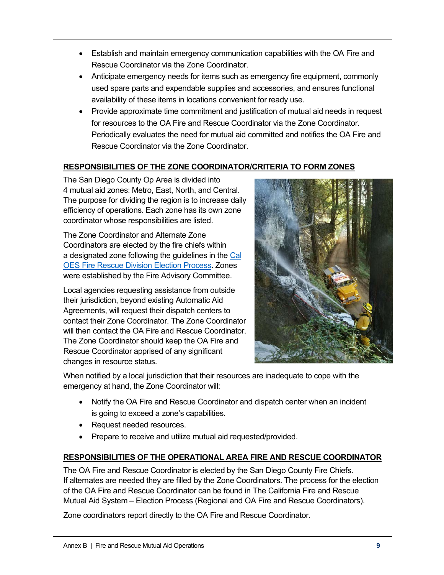- Establish and maintain emergency communication capabilities with the OA Fire and Rescue Coordinator via the Zone Coordinator.
- Anticipate emergency needs for items such as emergency fire equipment, commonly used spare parts and expendable supplies and accessories, and ensures functional availability of these items in locations convenient for ready use.
- Provide approximate time commitment and justification of mutual aid needs in request for resources to the OA Fire and Rescue Coordinator via the Zone Coordinator. Periodically evaluates the need for mutual aid committed and notifies the OA Fire and Rescue Coordinator via the Zone Coordinator.

## **RESPONSIBILITIES OF THE ZONE COORDINATOR/CRITERIA TO FORM ZONES**

The San Diego County Op Area is divided into 4 mutual aid zones: Metro, East, North, and Central. The purpose for dividing the region is to increase daily efficiency of operations. Each zone has its own zone coordinator whose responsibilities are listed.

The Zone Coordinator and Alternate Zone Coordinators are elected by the fire chiefs within a designated zone following the guidelines in the Cal OES Fire Rescue Division Election Process. Zones were established by the Fire Advisory Committee.

Local agencies requesting assistance from outside their jurisdiction, beyond existing Automatic Aid Agreements, will request their dispatch centers to contact their Zone Coordinator. The Zone Coordinator will then contact the OA Fire and Rescue Coordinator. The Zone Coordinator should keep the OA Fire and Rescue Coordinator apprised of any significant changes in resource status.



When notified by a local jurisdiction that their resources are inadequate to cope with the emergency at hand, the Zone Coordinator will:

- Notify the OA Fire and Rescue Coordinator and dispatch center when an incident is going to exceed a zone's capabilities.
- Request needed resources.
- Prepare to receive and utilize mutual aid requested/provided.

## **RESPONSIBILITIES OF THE OPERATIONAL AREA FIRE AND RESCUE COORDINATOR**

The OA Fire and Rescue Coordinator is elected by the San Diego County Fire Chiefs. If alternates are needed they are filled by the Zone Coordinators. The process for the election of the OA Fire and Rescue Coordinator can be found in The California Fire and Rescue Mutual Aid System – Election Process (Regional and OA Fire and Rescue Coordinators).

Zone coordinators report directly to the OA Fire and Rescue Coordinator.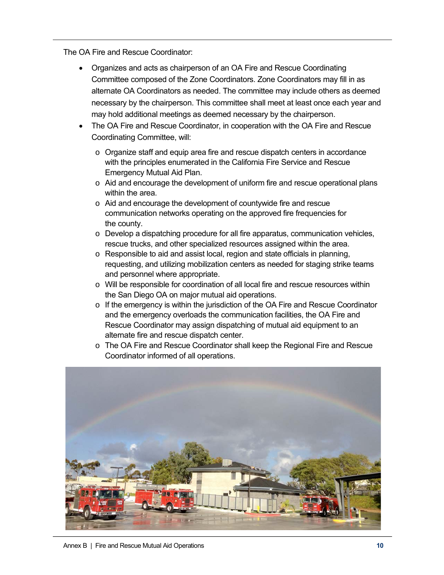The OA Fire and Rescue Coordinator:

- Organizes and acts as chairperson of an OA Fire and Rescue Coordinating Committee composed of the Zone Coordinators. Zone Coordinators may fill in as alternate OA Coordinators as needed. The committee may include others as deemed necessary by the chairperson. This committee shall meet at least once each year and may hold additional meetings as deemed necessary by the chairperson.
- The OA Fire and Rescue Coordinator, in cooperation with the OA Fire and Rescue Coordinating Committee, will:
	- o Organize staff and equip area fire and rescue dispatch centers in accordance with the principles enumerated in the California Fire Service and Rescue Emergency Mutual Aid Plan.
	- $\circ$  Aid and encourage the development of uniform fire and rescue operational plans within the area.
	- o Aid and encourage the development of countywide fire and rescue communication networks operating on the approved fire frequencies for the county.
	- $\circ$  Develop a dispatching procedure for all fire apparatus, communication vehicles, rescue trucks, and other specialized resources assigned within the area.
	- o Responsible to aid and assist local, region and state officials in planning, requesting, and utilizing mobilization centers as needed for staging strike teams and personnel where appropriate.
	- $\circ$  Will be responsible for coordination of all local fire and rescue resources within the San Diego OA on major mutual aid operations.
	- $\circ$  If the emergency is within the jurisdiction of the OA Fire and Rescue Coordinator and the emergency overloads the communication facilities, the OA Fire and Rescue Coordinator may assign dispatching of mutual aid equipment to an alternate fire and rescue dispatch center.
	- o The OA Fire and Rescue Coordinator shall keep the Regional Fire and Rescue Coordinator informed of all operations.



Annex B | Fire and Rescue Mutual Aid Operations **10**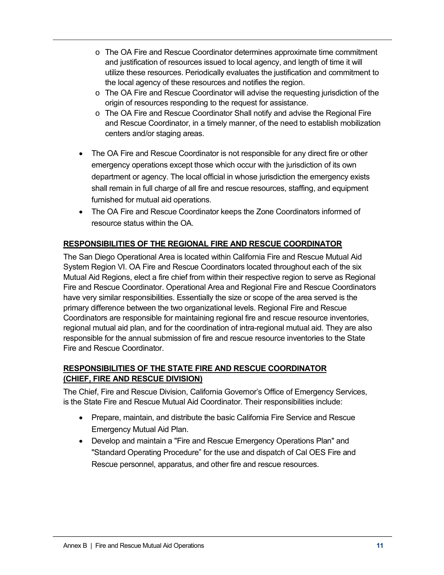- o The OA Fire and Rescue Coordinator determines approximate time commitment and justification of resources issued to local agency, and length of time it will utilize these resources. Periodically evaluates the justification and commitment to the local agency of these resources and notifies the region.
- o The OA Fire and Rescue Coordinator will advise the requesting jurisdiction of the origin of resources responding to the request for assistance.
- o The OA Fire and Rescue Coordinator Shall notify and advise the Regional Fire and Rescue Coordinator, in a timely manner, of the need to establish mobilization centers and/or staging areas.
- The OA Fire and Rescue Coordinator is not responsible for any direct fire or other emergency operations except those which occur with the jurisdiction of its own department or agency. The local official in whose jurisdiction the emergency exists shall remain in full charge of all fire and rescue resources, staffing, and equipment furnished for mutual aid operations.
- The OA Fire and Rescue Coordinator keeps the Zone Coordinators informed of resource status within the OA.

## **RESPONSIBILITIES OF THE REGIONAL FIRE AND RESCUE COORDINATOR**

The San Diego Operational Area is located within California Fire and Rescue Mutual Aid System Region VI. OA Fire and Rescue Coordinators located throughout each of the six Mutual Aid Regions, elect a fire chief from within their respective region to serve as Regional Fire and Rescue Coordinator. Operational Area and Regional Fire and Rescue Coordinators have very similar responsibilities. Essentially the size or scope of the area served is the primary difference between the two organizational levels. Regional Fire and Rescue Coordinators are responsible for maintaining regional fire and rescue resource inventories, regional mutual aid plan, and for the coordination of intra-regional mutual aid. They are also responsible for the annual submission of fire and rescue resource inventories to the State Fire and Rescue Coordinator.

## **RESPONSIBILITIES OF THE STATE FIRE AND RESCUE COORDINATOR (CHIEF, FIRE AND RESCUE DIVISION)**

The Chief, Fire and Rescue Division, California Governor's Office of Emergency Services, is the State Fire and Rescue Mutual Aid Coordinator. Their responsibilities include:

- Prepare, maintain, and distribute the basic California Fire Service and Rescue Emergency Mutual Aid Plan.
- Develop and maintain a "Fire and Rescue Emergency Operations Plan" and "Standard Operating Procedure" for the use and dispatch of Cal OES Fire and Rescue personnel, apparatus, and other fire and rescue resources.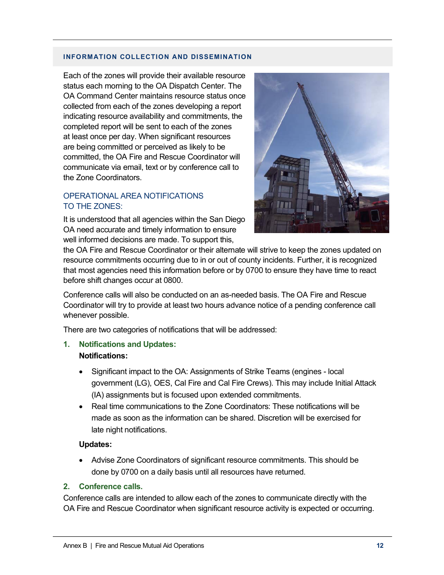#### **INFORMATION COLLECTION AND DISSEMINATION**

Each of the zones will provide their available resource status each morning to the OA Dispatch Center. The OA Command Center maintains resource status once collected from each of the zones developing a report indicating resource availability and commitments, the completed report will be sent to each of the zones at least once per day. When significant resources are being committed or perceived as likely to be committed, the OA Fire and Rescue Coordinator will communicate via email, text or by conference call to the Zone Coordinators.

#### OPERATIONAL AREA NOTIFICATIONS TO THE ZONES:

It is understood that all agencies within the San Diego OA need accurate and timely information to ensure well informed decisions are made. To support this,



the OA Fire and Rescue Coordinator or their alternate will strive to keep the zones updated on resource commitments occurring due to in or out of county incidents. Further, it is recognized that most agencies need this information before or by 0700 to ensure they have time to react before shift changes occur at 0800.

Conference calls will also be conducted on an as-needed basis. The OA Fire and Rescue Coordinator will try to provide at least two hours advance notice of a pending conference call whenever possible.

There are two categories of notifications that will be addressed:

**1. Notifications and Updates:** 

#### **Notifications:**

- Significant impact to the OA: Assignments of Strike Teams (engines local government (LG), OES, Cal Fire and Cal Fire Crews). This may include Initial Attack (IA) assignments but is focused upon extended commitments.
- Real time communications to the Zone Coordinators: These notifications will be made as soon as the information can be shared. Discretion will be exercised for late night notifications.

#### **Updates:**

• Advise Zone Coordinators of significant resource commitments. This should be done by 0700 on a daily basis until all resources have returned.

#### **2. Conference calls.**

Conference calls are intended to allow each of the zones to communicate directly with the OA Fire and Rescue Coordinator when significant resource activity is expected or occurring.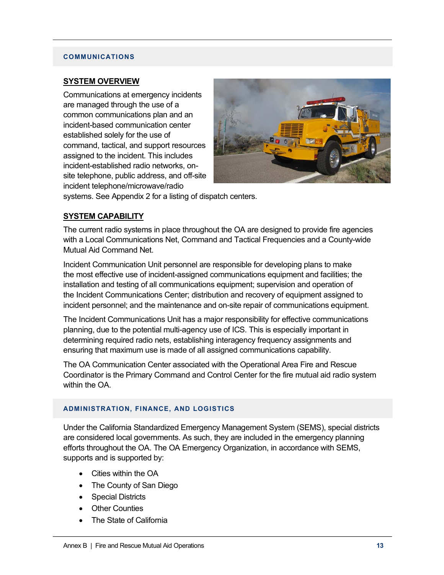#### **COMMUNICATIONS**

#### **SYSTEM OVERVIEW**

Communications at emergency incidents are managed through the use of a common communications plan and an incident-based communication center established solely for the use of command, tactical, and support resources assigned to the incident. This includes incident-established radio networks, onsite telephone, public address, and off-site incident telephone/microwave/radio



systems. See Appendix 2 for a listing of dispatch centers.

#### **SYSTEM CAPABILITY**

The current radio systems in place throughout the OA are designed to provide fire agencies with a Local Communications Net, Command and Tactical Frequencies and a County-wide Mutual Aid Command Net.

Incident Communication Unit personnel are responsible for developing plans to make the most effective use of incident-assigned communications equipment and facilities; the installation and testing of all communications equipment; supervision and operation of the Incident Communications Center; distribution and recovery of equipment assigned to incident personnel; and the maintenance and on-site repair of communications equipment.

The Incident Communications Unit has a major responsibility for effective communications planning, due to the potential multi-agency use of ICS. This is especially important in determining required radio nets, establishing interagency frequency assignments and ensuring that maximum use is made of all assigned communications capability.

The OA Communication Center associated with the Operational Area Fire and Rescue Coordinator is the Primary Command and Control Center for the fire mutual aid radio system within the OA.

#### **ADMINISTRATION, FINANCE, AND LOGISTICS**

Under the California Standardized Emergency Management System (SEMS), special districts are considered local governments. As such, they are included in the emergency planning efforts throughout the OA. The OA Emergency Organization, in accordance with SEMS, supports and is supported by:

- Cities within the OA
- The County of San Diego
- Special Districts
- Other Counties
- The State of California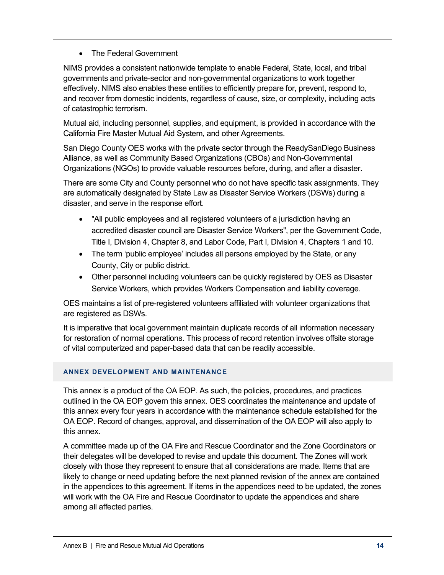## • The Federal Government

NIMS provides a consistent nationwide template to enable Federal, State, local, and tribal governments and private-sector and non-governmental organizations to work together effectively. NIMS also enables these entities to efficiently prepare for, prevent, respond to, and recover from domestic incidents, regardless of cause, size, or complexity, including acts of catastrophic terrorism.

Mutual aid, including personnel, supplies, and equipment, is provided in accordance with the California Fire Master Mutual Aid System, and other Agreements.

San Diego County OES works with the private sector through the ReadySanDiego Business Alliance, as well as Community Based Organizations (CBOs) and Non-Governmental Organizations (NGOs) to provide valuable resources before, during, and after a disaster.

There are some City and County personnel who do not have specific task assignments. They are automatically designated by State Law as Disaster Service Workers (DSWs) during a disaster, and serve in the response effort.

- "All public employees and all registered volunteers of a jurisdiction having an accredited disaster council are Disaster Service Workers", per the Government Code, Title I, Division 4, Chapter 8, and Labor Code, Part I, Division 4, Chapters 1 and 10.
- The term 'public employee' includes all persons employed by the State, or any County, City or public district.
- Other personnel including volunteers can be quickly registered by OES as Disaster Service Workers, which provides Workers Compensation and liability coverage.

OES maintains a list of pre-registered volunteers affiliated with volunteer organizations that are registered as DSWs.

It is imperative that local government maintain duplicate records of all information necessary for restoration of normal operations. This process of record retention involves offsite storage of vital computerized and paper-based data that can be readily accessible.

#### **ANNEX DEVELOPMENT AND MAINTENANCE**

This annex is a product of the OA EOP. As such, the policies, procedures, and practices outlined in the OA EOP govern this annex. OES coordinates the maintenance and update of this annex every four years in accordance with the maintenance schedule established for the OA EOP. Record of changes, approval, and dissemination of the OA EOP will also apply to this annex.

A committee made up of the OA Fire and Rescue Coordinator and the Zone Coordinators or their delegates will be developed to revise and update this document. The Zones will work closely with those they represent to ensure that all considerations are made. Items that are likely to change or need updating before the next planned revision of the annex are contained in the appendices to this agreement. If items in the appendices need to be updated, the zones will work with the OA Fire and Rescue Coordinator to update the appendices and share among all affected parties.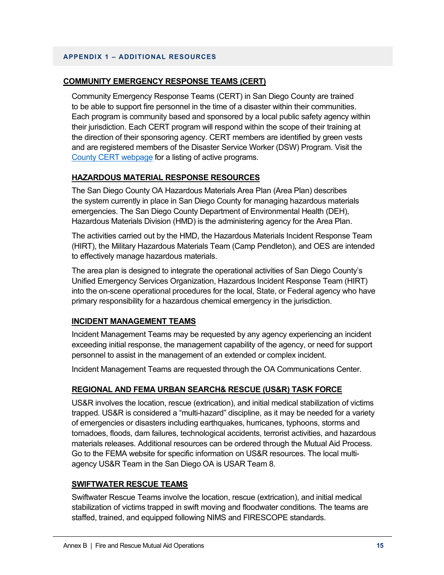#### **APPENDIX 1 – ADDITIONAL RESOURCES**

#### **COMMUNITY EMERGENCY RESPONSE TEAMS (CERT)**

Community Emergency Response Teams (CERT) in San Diego County are trained to be able to support fire personnel in the time of a disaster within their communities. Each program is community based and sponsored by a local public safety agency within their jurisdiction. Each CERT program will respond within the scope of their training at the direction of their sponsoring agency. CERT members are identified by green vests and are registered members of the Disaster Service Worker (DSW) Program. Visit the County CERT webpage for a listing of active programs.

## **HAZARDOUS MATERIAL RESPONSE RESOURCES**

The San Diego County OA Hazardous Materials Area Plan (Area Plan) describes the system currently in place in San Diego County for managing hazardous materials emergencies. The San Diego County Department of Environmental Health (DEH), Hazardous Materials Division (HMD) is the administering agency for the Area Plan.

The activities carried out by the HMD, the Hazardous Materials Incident Response Team (HIRT), the Military Hazardous Materials Team (Camp Pendleton), and OES are intended to effectively manage hazardous materials.

The area plan is designed to integrate the operational activities of San Diego County's Unified Emergency Services Organization, Hazardous Incident Response Team (HIRT) into the on-scene operational procedures for the local, State, or Federal agency who have primary responsibility for a hazardous chemical emergency in the jurisdiction.

## **INCIDENT MANAGEMENT TEAMS**

Incident Management Teams may be requested by any agency experiencing an incident exceeding initial response, the management capability of the agency, or need for support personnel to assist in the management of an extended or complex incident.

Incident Management Teams are requested through the OA Communications Center.

## **REGIONAL AND FEMA URBAN SEARCH& RESCUE (US&R) TASK FORCE**

US&R involves the location, rescue (extrication), and initial medical stabilization of victims trapped. US&R is considered a "multi-hazard" discipline, as it may be needed for a variety of emergencies or disasters including earthquakes, hurricanes, typhoons, storms and tornadoes, floods, dam failures, technological accidents, terrorist activities, and hazardous materials releases. Additional resources can be ordered through the Mutual Aid Process. Go to the FEMA website for specific information on US&R resources. The local multiagency US&R Team in the San Diego OA is USAR Team 8.

#### **SWIFTWATER RESCUE TEAMS**

Swiftwater Rescue Teams involve the location, rescue (extrication), and initial medical stabilization of victims trapped in swift moving and floodwater conditions. The teams are staffed, trained, and equipped following NIMS and FIRESCOPE standards.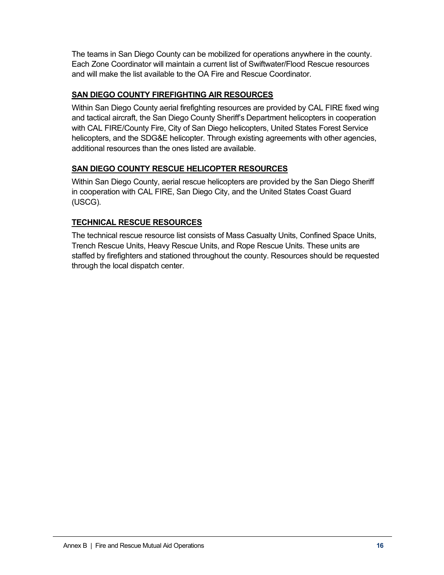The teams in San Diego County can be mobilized for operations anywhere in the county. Each Zone Coordinator will maintain a current list of Swiftwater/Flood Rescue resources and will make the list available to the OA Fire and Rescue Coordinator.

## **SAN DIEGO COUNTY FIREFIGHTING AIR RESOURCES**

Within San Diego County aerial firefighting resources are provided by CAL FIRE fixed wing and tactical aircraft, the San Diego County Sheriff's Department helicopters in cooperation with CAL FIRE/County Fire, City of San Diego helicopters, United States Forest Service helicopters, and the SDG&E helicopter. Through existing agreements with other agencies, additional resources than the ones listed are available.

## **SAN DIEGO COUNTY RESCUE HELICOPTER RESOURCES**

Within San Diego County, aerial rescue helicopters are provided by the San Diego Sheriff in cooperation with CAL FIRE, San Diego City, and the United States Coast Guard (USCG).

## **TECHNICAL RESCUE RESOURCES**

The technical rescue resource list consists of Mass Casualty Units, Confined Space Units, Trench Rescue Units, Heavy Rescue Units, and Rope Rescue Units. These units are staffed by firefighters and stationed throughout the county. Resources should be requested through the local dispatch center.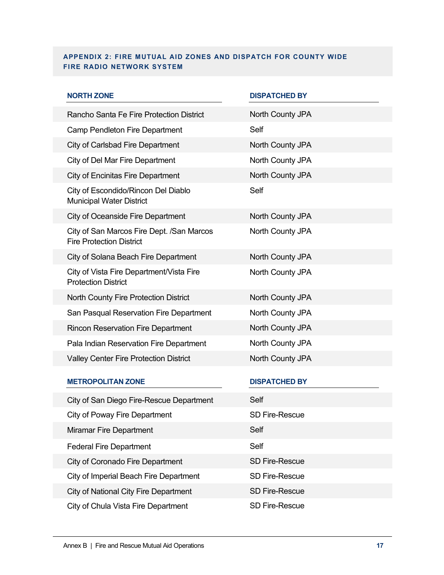#### **APPENDIX 2: FIRE MUTUAL AID ZONES AND DISPATCH FOR COUNTY WIDE FIRE RADIO NETWORK SYSTEM**

| <b>NORTH ZONE</b>                                                            | <b>DISPATCHED BY</b>  |
|------------------------------------------------------------------------------|-----------------------|
| Rancho Santa Fe Fire Protection District                                     | North County JPA      |
| Camp Pendleton Fire Department                                               | Self                  |
| City of Carlsbad Fire Department                                             | North County JPA      |
| City of Del Mar Fire Department                                              | North County JPA      |
| <b>City of Encinitas Fire Department</b>                                     | North County JPA      |
| City of Escondido/Rincon Del Diablo<br><b>Municipal Water District</b>       | Self                  |
| <b>City of Oceanside Fire Department</b>                                     | North County JPA      |
| City of San Marcos Fire Dept. /San Marcos<br><b>Fire Protection District</b> | North County JPA      |
| City of Solana Beach Fire Department                                         | North County JPA      |
| City of Vista Fire Department/Vista Fire<br><b>Protection District</b>       | North County JPA      |
| North County Fire Protection District                                        | North County JPA      |
| San Pasqual Reservation Fire Department                                      | North County JPA      |
| <b>Rincon Reservation Fire Department</b>                                    | North County JPA      |
| Pala Indian Reservation Fire Department                                      | North County JPA      |
| <b>Valley Center Fire Protection District</b>                                | North County JPA      |
| <b>METROPOLITAN ZONE</b>                                                     | <b>DISPATCHED BY</b>  |
| City of San Diego Fire-Rescue Department                                     | Self                  |
| City of Poway Fire Department                                                | <b>SD Fire-Rescue</b> |
| Miramar Fire Department                                                      | Self                  |
| <b>Federal Fire Department</b>                                               | Self                  |
| City of Coronado Fire Department                                             | <b>SD Fire-Rescue</b> |
| City of Imperial Beach Fire Department                                       | <b>SD Fire-Rescue</b> |
| City of National City Fire Department                                        | SD Fire-Rescue        |
| City of Chula Vista Fire Department                                          | SD Fire-Rescue        |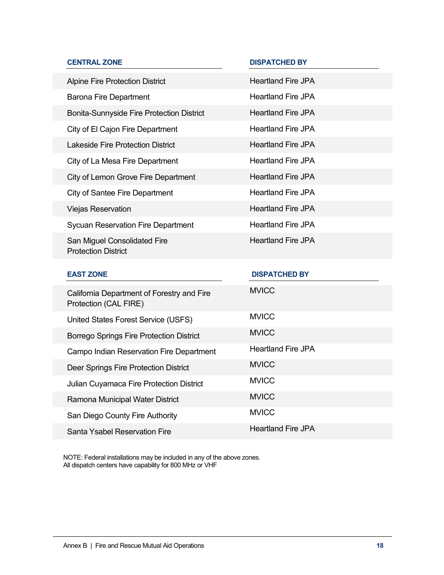| <b>CENTRAL ZONE</b>                                                 | <b>DISPATCHED BY</b>      |
|---------------------------------------------------------------------|---------------------------|
| <b>Alpine Fire Protection District</b>                              | <b>Heartland Fire JPA</b> |
| <b>Barona Fire Department</b>                                       | <b>Heartland Fire JPA</b> |
| Bonita-Sunnyside Fire Protection District                           | <b>Heartland Fire JPA</b> |
| City of El Cajon Fire Department                                    | <b>Heartland Fire JPA</b> |
| <b>Lakeside Fire Protection District</b>                            | <b>Heartland Fire JPA</b> |
| City of La Mesa Fire Department                                     | <b>Heartland Fire JPA</b> |
| City of Lemon Grove Fire Department                                 | <b>Heartland Fire JPA</b> |
| <b>City of Santee Fire Department</b>                               | <b>Heartland Fire JPA</b> |
| <b>Viejas Reservation</b>                                           | <b>Heartland Fire JPA</b> |
| <b>Sycuan Reservation Fire Department</b>                           | <b>Heartland Fire JPA</b> |
| San Miguel Consolidated Fire                                        | <b>Heartland Fire JPA</b> |
| <b>Protection District</b>                                          |                           |
| <b>EAST ZONE</b>                                                    | <b>DISPATCHED BY</b>      |
| California Department of Forestry and Fire<br>Protection (CAL FIRE) | <b>MVICC</b>              |
| United States Forest Service (USFS)                                 | <b>MVICC</b>              |
| Borrego Springs Fire Protection District                            | <b>MVICC</b>              |
| Campo Indian Reservation Fire Department                            | <b>Heartland Fire JPA</b> |
| Deer Springs Fire Protection District                               | <b>MVICC</b>              |
| Julian Cuyamaca Fire Protection District                            | <b>MVICC</b>              |
| Ramona Municipal Water District                                     | <b>MVICC</b>              |
| San Diego County Fire Authority                                     | <b>MVICC</b>              |

NOTE: Federal installations may be included in any of the above zones. All dispatch centers have capability for 800 MHz or VHF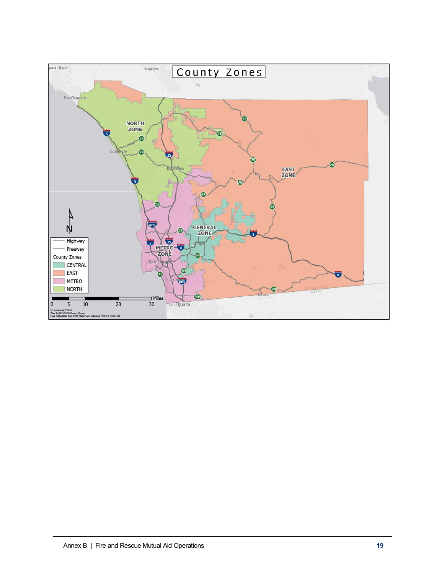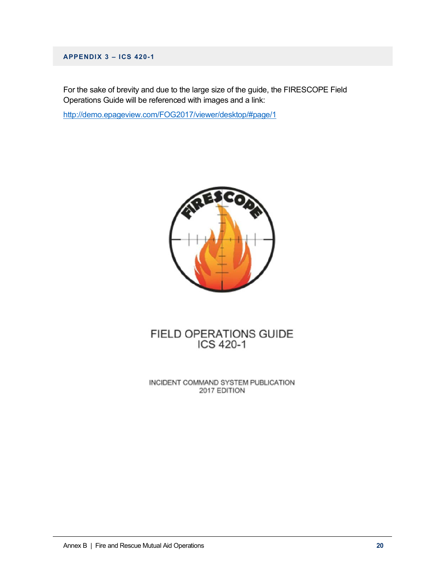#### **APPENDIX 3 – ICS 420-1**

For the sake of brevity and due to the large size of the guide, the FIRESCOPE Field Operations Guide will be referenced with images and a link:

http://demo.epageview.com/FOG2017/viewer/desktop/#page/1



# FIELD OPERATIONS GUIDE<br>ICS 420-1

INCIDENT COMMAND SYSTEM PUBLICATION 2017 EDITION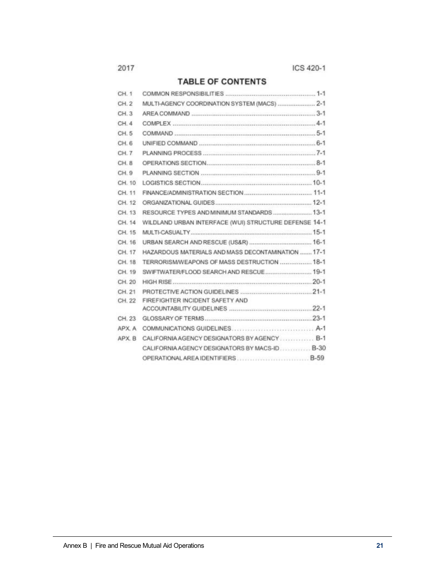## **TABLE OF CONTENTS**

| CH <sub>1</sub> |                                                       |
|-----------------|-------------------------------------------------------|
| CH.2            | MULTI-AGENCY COORDINATION SYSTEM (MACS)  2-1          |
| CH. 3           |                                                       |
| CH.4            |                                                       |
| CH <sub>5</sub> |                                                       |
| CH <sub>6</sub> |                                                       |
| CH. 7           |                                                       |
| CH <sub>8</sub> |                                                       |
| CH. 9           |                                                       |
| CH. 10          |                                                       |
| CH. 11          |                                                       |
| CH 12           |                                                       |
| CH. 13          | RESOURCE TYPES AND MINIMUM STANDARDS  13-1            |
| CH. 14          | WILDLAND URBAN INTERFACE (WUI) STRUCTURE DEFENSE 14-1 |
| CH 15           |                                                       |
| CH 16           |                                                       |
| CH. 17          | HAZARDOUS MATERIALS AND MASS DECONTAMINATION  17-1    |
| CH 18           | TERRORISM/WEAPONS OF MASS DESTRUCTION  18-1           |
| CH 19           | SWIFTWATER/FLOOD SEARCH AND RESCUE 19-1               |
| CH. 20          |                                                       |
| CH. 21          |                                                       |
| CH. 22          | FIREFIGHTER INCIDENT SAFETY AND                       |
| CH. 23          |                                                       |
| APX A           |                                                       |
| APX B           | CALIFORNIA AGENCY DESIGNATORS BY AGENCY B-1           |
|                 | CALIFORNIA AGENCY DESIGNATORS BY MACS-ID. B-30        |
|                 |                                                       |
|                 |                                                       |